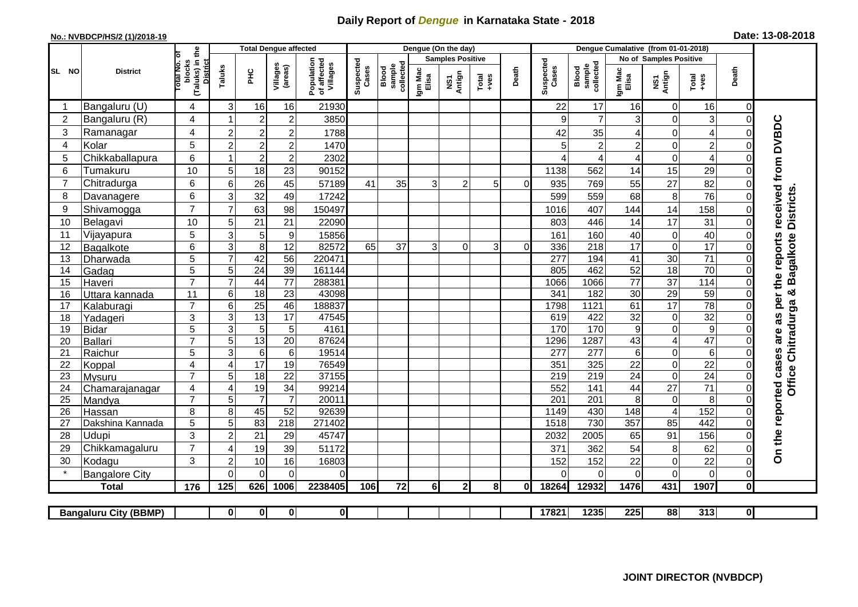## **Daily Report of** *Dengue* **in Karnataka State - 2018**

## **No.: NVBDCP/HS/2 (1)/2018-19 Date: 13-08-2018**

|                | <b>District</b>              |                                                      | <b>Total Dengue affected</b> |                  |                         |                                       |                    |                              |                         | Dengue (On the day) |                  |          |                    |                                     |                  |                         |                         |                |                                            |
|----------------|------------------------------|------------------------------------------------------|------------------------------|------------------|-------------------------|---------------------------------------|--------------------|------------------------------|-------------------------|---------------------|------------------|----------|--------------------|-------------------------------------|------------------|-------------------------|-------------------------|----------------|--------------------------------------------|
|                |                              |                                                      |                              |                  |                         | Population<br>of affected<br>Villages | Suspected<br>Cases |                              | <b>Samples Positive</b> |                     |                  |          |                    |                                     |                  | No of Samples Positive  |                         |                |                                            |
| SL NO          |                              | (Taluks) in the<br>District<br>otal No. of<br>blocks | Taluks                       | Ξ                | Villages<br>(areas)     |                                       |                    | Blood<br>sample<br>collected | Igm Mac<br>Elisa        | NS1<br>Antign       | $Tota$<br>$+ves$ | Death    | Suspected<br>Cases | collected<br><b>Blood</b><br>sample | Igm Mac<br>Elisa | NS1<br>Antign           | $Tota$<br>$+ves$        | Death          |                                            |
|                | Bangaluru (U)                | $\overline{4}$                                       | 3                            | 16               | 16                      | 21930                                 |                    |                              |                         |                     |                  |          | 22                 | 17                                  | 16               | 0                       | 16                      | $\mathbf 0$    |                                            |
| $\overline{2}$ | Bangaluru (R)                | 4                                                    |                              | $\overline{2}$   | $\overline{c}$          | 3850                                  |                    |                              |                         |                     |                  |          | 9                  | $\overline{7}$                      | 3                | 0                       | 3                       | $\mathbf 0$    |                                            |
| 3              | Ramanagar                    | 4                                                    | $\overline{2}$               | $\overline{2}$   | $\overline{c}$          | 1788                                  |                    |                              |                         |                     |                  |          | 42                 | 35                                  | 4                | $\mathbf 0$             | $\overline{\mathbf{4}}$ | $\Omega$       | are as per the reports received from DVBDC |
| 4              | Kolar                        | 5                                                    | $\overline{c}$               | $\boldsymbol{2}$ | $\boldsymbol{2}$        | 1470                                  |                    |                              |                         |                     |                  |          | 5                  | $\overline{2}$                      | $\overline{2}$   | 0                       | $\overline{c}$          | $\mathbf 0$    |                                            |
| 5              | Chikkaballapura              | 6                                                    |                              | $\boldsymbol{2}$ | $\mathbf 2$             | 2302                                  |                    |                              |                         |                     |                  |          | ⊿                  | 4                                   | 4                | 0                       | $\overline{4}$          | $\Omega$       |                                            |
| 6              | Tumakuru                     | 10                                                   | 5                            | 18               | 23                      | 90152                                 |                    |                              |                         |                     |                  |          | 1138               | 562                                 | 14               | 15                      | 29                      | $\Omega$       |                                            |
| $\overline{7}$ | Chitradurga                  | 6                                                    | 6                            | 26               | 45                      | 57189                                 | 41                 | 35                           | 3                       | 2                   | 5 <sup>1</sup>   | $\Omega$ | 935                | 769                                 | 55               | 27                      | 82                      | 0              |                                            |
| 8              | Davanagere                   | 6                                                    | 3                            | 32               | 49                      | 17242                                 |                    |                              |                         |                     |                  |          | 599                | 559                                 | 68               | 8                       | 76                      | $\Omega$       |                                            |
| 9              | Shivamogga                   | $\overline{7}$                                       | $\overline{7}$               | 63               | 98                      | 150497                                |                    |                              |                         |                     |                  |          | 1016               | 407                                 | 144              | 14                      | 158                     | $\Omega$       | <b>Districts</b>                           |
| 10             | Belagavi                     | 10                                                   | 5                            | 21               | 21                      | 22090                                 |                    |                              |                         |                     |                  |          | 803                | 446                                 | 14               | 17                      | 31                      | $\mathbf 0$    |                                            |
| 11             | Vijayapura                   | 5                                                    | 3                            | 5                | $\boldsymbol{9}$        | 15856                                 |                    |                              |                         |                     |                  |          | 161                | 160                                 | 40               | 0                       | 40                      | $\Omega$       |                                            |
| 12             | Bagalkote                    | 6                                                    | 3                            | 8                | 12                      | 82572                                 | 65                 | 37                           | 3                       | 0                   | 3                | 0        | 336                | 218                                 | 17               | 0                       | 17                      | $\Omega$       | agalkote                                   |
| 13             | Dharwada                     | 5                                                    | $\overline{7}$               | 42               | $\overline{56}$         | 220471                                |                    |                              |                         |                     |                  |          | 277                | 194                                 | 41               | 30                      | $\overline{71}$         | $\Omega$       |                                            |
| 14             | Gadag                        | $\overline{5}$                                       | 5                            | $\overline{24}$  | 39                      | 161144                                |                    |                              |                         |                     |                  |          | 805                | 462                                 | 52               | 18                      | 70                      | $\mathbf 0$    |                                            |
| 15             | Haveri                       | $\overline{7}$                                       | $\overline{7}$               | 44               | $\overline{77}$         | 288381                                |                    |                              |                         |                     |                  |          | 1066               | 1066                                | $\overline{77}$  | $\overline{37}$         | 114                     | $\mathbf 0$    | m                                          |
| 16             | Uttara kannada               | 11                                                   | 6                            | $\overline{18}$  | $\overline{23}$         | 43098                                 |                    |                              |                         |                     |                  |          | 341                | 182                                 | 30               | 29                      | 59                      | $\Omega$       | න්                                         |
| 17             | Kalaburagi                   | $\overline{7}$                                       | 6                            | 25               | 46                      | 188837                                |                    |                              |                         |                     |                  |          | 1798               | 1121                                | 61               | $\overline{17}$         | $\overline{78}$         | $\mathbf 0$    |                                            |
| 18             | Yadageri                     | 3                                                    | 3                            | $\overline{13}$  | 17                      | 47545                                 |                    |                              |                         |                     |                  |          | 619                | 422                                 | 32               | $\mathbf 0$             | 32                      | $\Omega$       |                                            |
| 19             | Bidar                        | $\overline{5}$                                       | 3                            | $\overline{5}$   | 5                       | 4161                                  |                    |                              |                         |                     |                  |          | 170                | 170                                 | $\boldsymbol{9}$ | $\mathbf 0$             | 9                       | $\Omega$       |                                            |
| 20             | Ballari                      | $\overline{7}$                                       | 5                            | 13               | 20                      | 87624                                 |                    |                              |                         |                     |                  |          | 1296               | 1287                                | 43               | $\overline{\mathbf{4}}$ | 47                      | $\mathbf 0$    | Office Chitradurga                         |
| 21             | Raichur                      | $\overline{5}$                                       | $\overline{3}$               | $\overline{6}$   | 6                       | 19514                                 |                    |                              |                         |                     |                  |          | $\overline{277}$   | 277                                 | $\,6$            | 0                       | $\overline{6}$          | $\mathbf 0$    |                                            |
| 22             | Koppal                       | $\overline{4}$                                       | $\overline{4}$               | $\overline{17}$  | 19                      | 76549                                 |                    |                              |                         |                     |                  |          | 351                | 325                                 | 22               | 0                       | $\overline{22}$         | $\Omega$       |                                            |
| 23             | Mysuru                       | $\overline{7}$                                       | 5                            | $\overline{18}$  | $\overline{22}$         | 37155                                 |                    |                              |                         |                     |                  |          | $\overline{219}$   | 219                                 | $\overline{24}$  | $\overline{0}$          | 24                      | $\Omega$       |                                            |
| 24             | Chamarajanagar               | $\overline{4}$                                       | $\overline{4}$               | 19               | $\overline{34}$         | 99214                                 |                    |                              |                         |                     |                  |          | 552                | 141                                 | 44               | $\overline{27}$         | $\overline{71}$         | $\mathbf 0$    |                                            |
| 25             | Mandya                       | $\overline{7}$                                       | 5                            | $\overline{7}$   | $\overline{7}$          | 20011                                 |                    |                              |                         |                     |                  |          | 201                | 201                                 | 8                | $\pmb{0}$               | 8                       | $\Omega$       |                                            |
| 26             | Hassan                       | 8                                                    | 8                            | 45               | 52                      | 92639                                 |                    |                              |                         |                     |                  |          | 1149               | 430                                 | 148              | $\overline{\mathbf{4}}$ | 152                     | $\overline{0}$ |                                            |
| 27             | Dakshina Kannada             | 5                                                    | 5                            | 83               | $\overline{218}$        | 271402                                |                    |                              |                         |                     |                  |          | 1518               | 730                                 | 357              | 85                      | 442                     | $\mathbf 0$    |                                            |
| 28             | Udupi                        | 3                                                    | $\overline{2}$               | 21               | 29                      | 45747                                 |                    |                              |                         |                     |                  |          | 2032               | 2005                                | 65               | 91                      | 156                     | $\Omega$       |                                            |
| 29             | Chikkamagaluru               | $\overline{7}$                                       | 4                            | 19               | 39                      | 51172                                 |                    |                              |                         |                     |                  |          | 371                | 362                                 | 54               | 8                       | 62                      | 0              | On the reported cases                      |
| 30             | Kodagu                       | 3                                                    | $\overline{2}$               | 10               | 16                      | 16803                                 |                    |                              |                         |                     |                  |          | 152                | 152                                 | 22               | 0                       | 22                      | $\mathbf 0$    |                                            |
|                | <b>Bangalore City</b>        |                                                      | $\Omega$                     | $\Omega$         | $\Omega$                | $\Omega$                              |                    |                              |                         |                     |                  |          | ∩                  | $\Omega$                            | 0                | $\overline{0}$          | $\overline{O}$          | $\mathbf 0$    |                                            |
|                | <b>Total</b>                 | 176                                                  | 125                          | 626              | 1006                    | 2238405                               | 106                | 72                           | <b>6</b>                | $\overline{2}$      | 81               | Οl       | 18264              | 12932                               | 1476             | 431                     | 1907                    | $\mathbf 0$    |                                            |
|                | <b>Bangaluru City (BBMP)</b> |                                                      | $\mathbf 0$                  | $\mathbf{0}$     | $\overline{\mathbf{0}}$ | 0                                     |                    |                              |                         |                     |                  |          | 17821              | 1235                                | 225              | 88                      | 313                     | $\overline{0}$ |                                            |